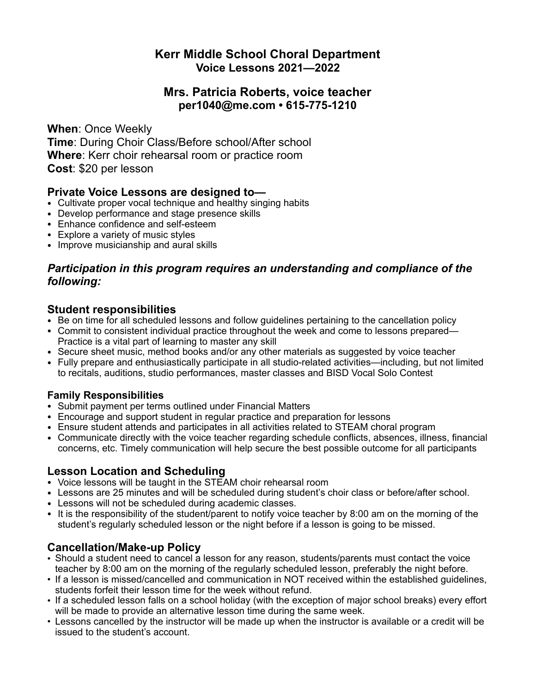# **Kerr Middle School Choral Department Voice Lessons 2021—2022**

### **Mrs. Patricia Roberts, voice teacher per1040@me.com • 615-775-1210**

**When**: Once Weekly **Time**: During Choir Class/Before school/After school **Where**: Kerr choir rehearsal room or practice room **Cost**: \$20 per lesson

#### **Private Voice Lessons are designed to—**

- Cultivate proper vocal technique and healthy singing habits
- Develop performance and stage presence skills
- Enhance confidence and self-esteem
- Explore a variety of music styles
- Improve musicianship and aural skills

## *Participation in this program requires an understanding and compliance of the following:*

- **Student responsibilities**<br>• Be on time for all scheduled lessons and follow guidelines pertaining to the cancellation policy
- Commit to consistent individual practice throughout the week and come to lessons prepared— Practice is a vital part of learning to master any skill
- Secure sheet music, method books and/or any other materials as suggested by voice teacher
- Fully prepare and enthusiastically participate in all studio-related activities—including, but not limited to recitals, auditions, studio performances, master classes and BISD Vocal Solo Contest

#### **Family Responsibilities**

- Submit payment per terms outlined under Financial Matters
- Encourage and support student in regular practice and preparation for lessons
- Ensure student attends and participates in all activities related to STEAM choral program
- Communicate directly with the voice teacher regarding schedule conflicts, absences, illness, financial concerns, etc. Timely communication will help secure the best possible outcome for all participants

#### **Lesson Location and Scheduling**

- Voice lessons will be taught in the STEAM choir rehearsal room
- Lessons are 25 minutes and will be scheduled during student's choir class or before/after school.
- Lessons will not be scheduled during academic classes.
- It is the responsibility of the student/parent to notify voice teacher by 8:00 am on the morning of the student's regularly scheduled lesson or the night before if a lesson is going to be missed.

# **Cancellation/Make-up Policy**

- Should a student need to cancel a lesson for any reason, students/parents must contact the voice teacher by 8:00 am on the morning of the regularly scheduled lesson, preferably the night before.
- If a lesson is missed/cancelled and communication in NOT received within the established guidelines, students forfeit their lesson time for the week without refund.
- If a scheduled lesson falls on a school holiday (with the exception of major school breaks) every effort will be made to provide an alternative lesson time during the same week.
- Lessons cancelled by the instructor will be made up when the instructor is available or a credit will be issued to the student's account.